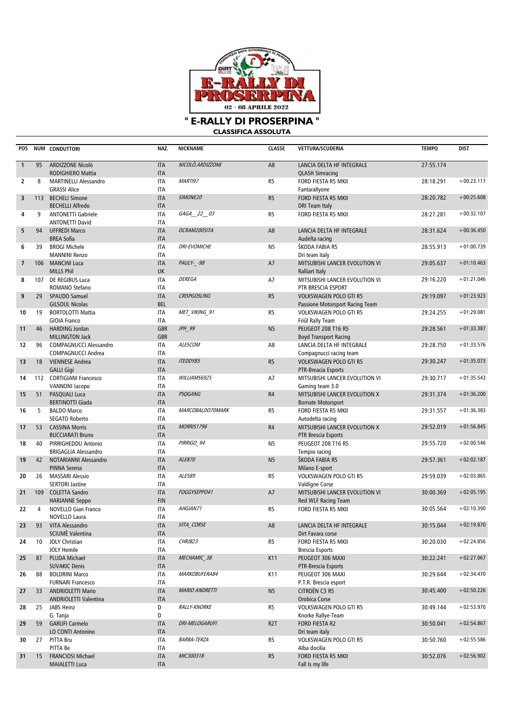

" E-RALLY DI PROSERPINA " **CLASSIFICA ASSOLUTA** 

| POS            |     | NUM CONDUTTORI                                           | NAZ.                     | NICKNAME              | <b>CLASSE</b>    | <b>VETTURA/SCUDERIA</b>                                          | <b>TEMPO</b> | <b>DIST</b>  |
|----------------|-----|----------------------------------------------------------|--------------------------|-----------------------|------------------|------------------------------------------------------------------|--------------|--------------|
| $\mathbf{1}$   | 95  | ARDIZZONE Nicolò<br>RODIGHIERO Mattia                    | <b>ITA</b><br><b>ITA</b> | NICOLO.ARDIZZONE      | A <sub>8</sub>   | LANCIA DELTA HF INTEGRALE<br><b>QLASH Simracing</b>              | 27:55.174    |              |
| $\overline{2}$ | 8   | <b>MARTINELLI Alessandro</b><br><b>GRASSI Alice</b>      | <b>ITA</b><br><b>ITA</b> | MARTI97               | R <sub>5</sub>   | FORD FIESTA R5 MKII<br>Fantarallyone                             | 28:18.291    | $+00:23.117$ |
| 3              | 113 | <b>BECHELI Simone</b><br><b>BECHELLI Alfredo</b>         | <b>ITA</b><br><b>ITA</b> | SIMONE20              | R <sub>5</sub>   | FORD FIESTA R5 MKII<br>DRI Team Italy                            | 28:20.782    | $+00:25.608$ |
| 4              | 9   | <b>ANTONETTI Gabriele</b><br><b>ANTONETTI David</b>      | <b>ITA</b><br><b>ITA</b> | GAGA 22 03            | R <sub>5</sub>   | FORD FIESTA R5 MKII                                              | 28:27.281    | $+00:32.107$ |
| 5              | 94  | <b>UFFREDI Marco</b><br><b>BREA Sofia</b>                | <b>ITA</b><br><b>ITA</b> | OCRAM2005ITA          | A8               | LANCIA DELTA HF INTEGRALE<br>Audelta racing                      | 28:31.624    | $+00:36.450$ |
| 6              | 39  | <b>BROGI Michele</b><br><b>MANNINI Renzo</b>             | <b>ITA</b><br><b>ITA</b> | <b>DRI-EVOMICHE</b>   | N <sub>5</sub>   | ŠKODA FABIA R5<br>Dri team italy                                 | 28:55.913    | $+01:00.739$ |
| $\overline{7}$ | 106 | <b>MANCINI Luca</b><br><b>MILLS Phil</b>                 | <b>ITA</b><br>UK         | PAULY- -98            | A7               | MITSUBISHI LANCER EVOLUTION VI<br><b>Ralliart Italy</b>          | 29:05.637    | $+01:10.463$ |
| 8              | 107 | DE REGIBUS Luca<br>ROMANO Stefano                        | <b>ITA</b><br><b>ITA</b> | <b>DEREGA</b>         | A7               | MITSUBISHI LANCER EVOLUTION VI<br>PTR BRESCIA ESPORT             | 29:16.220    | $+01:21.046$ |
| 9              | 29  | SPAUDO Samuel<br><b>GILSOUL Nicolas</b>                  | <b>ITA</b><br><b>BEL</b> | <b>CRISPGOSLING</b>   | R <sub>5</sub>   | <b>VOLKSWAGEN POLO GTI R5</b><br>Passione Motorsport Racing Team | 29:19.097    | $+01:23.923$ |
| 10             | 19  | <b>BORTOLOTTI Mattia</b><br><b>GIOIA Franco</b>          | <b>ITA</b><br><b>ITA</b> | MET VIKING 91         | R <sub>5</sub>   | VOLKSWAGEN POLO GTI R5<br>Friûl Rally Team                       | 29:24.255    | $+01:29.081$ |
| 11             | 46  | <b>HARDING Jordan</b><br>MILLINGTON Jack                 | <b>GBR</b><br><b>GBR</b> | JPH 99                | N <sub>5</sub>   | <b>PEUGEOT 208 T16 R5</b><br><b>Boyd Transport Racing</b>        | 29:28.561    | $+01:33.387$ |
| 12             | 96  | <b>COMPAGNUCCI Alessandro</b><br>COMPAGNUCCI Andrea      | <b>ITA</b><br><b>ITA</b> | ALESCOM               | A8               | LANCIA DELTA HF INTEGRALE<br>Compagnucci racing team             | 29:28.750    | $+01:33.576$ |
| 13             | 18  | <b>VIENNESE Andrea</b><br><b>GALLI Gigi</b>              | <b>ITA</b><br><b>ITA</b> | <b>ITEDDY85</b>       | R <sub>5</sub>   | <b>VOLKSWAGEN POLO GTI R5</b><br>PTR-Breacia Esports             | 29:30.247    | $+01:35.073$ |
| 14             |     | 112 CORTIGIANI Francesco<br><b>VANNONI</b> lacopo        | <b>ITA</b><br><b>ITA</b> | WILLIAMS6925          | A7               | MITSUBISHI LANCER EVOLUTION VI<br>Gaming team 3.0                | 29:30.717    | $+01:35.543$ |
| 15             | 51  | PASQUALI Luca<br><b>BERTINOTTI Giada</b>                 | <b>ITA</b><br><b>ITA</b> | <b>PSQGANG</b>        | R4               | MITSUBISHI LANCER EVOLUTION X<br><b>Bornate Motorsport</b>       | 29:31.374    | $+01:36.200$ |
| 16             | 5   | <b>BALDO Marco</b><br>SEGATO Roberto                     | <b>ITA</b><br><b>ITA</b> | MARCOBALDO70MARK      | R <sub>5</sub>   | FORD FIESTA R5 MKII<br>Autodelta racing                          | 29:31.557    | $+01:36.383$ |
| 17             | 53  | <b>CASSINA Morris</b><br><b>BUCCIARATI Bruno</b>         | <b>ITA</b><br><b>ITA</b> | <b>MORRIS1796</b>     | R4               | MITSUBISHI LANCER EVOLUTION X<br><b>PTR Brescia Esports</b>      | 29:52.019    | $+01:56.845$ |
| 18             | 40  | PIRRIGHEDDU Antonio<br><b>BRIGAGLIA Alessandro</b>       | <b>ITA</b><br><b>ITA</b> | PIRRIGO_94            | N <sub>5</sub>   | PEUGEOT 208 T16 R5<br>Tempio racing                              | 29:55.720    | $+02:00.546$ |
| 19             | 42  | NOTARIANNI Alessandro<br>PINNA Serena                    | <b>ITA</b><br><b>ITA</b> | ALE870                | N <sub>5</sub>   | ŠKODA FABIA R5<br>Milano E-sport                                 | 29:57.361    | $+02:02.187$ |
| 20             | 26  | <b>MASSARI Alessio</b><br><b>SERTORI Jastine</b>         | <b>ITA</b><br><b>ITA</b> | ALE589                | R <sub>5</sub>   | VOLKSWAGEN POLO GTI R5<br>Valdigne Corse                         | 29:59.039    | $+02:03.865$ |
| 21             | 109 | <b>COLETTA Sandro</b><br><b>HARJANNE Seppo</b>           | <b>ITA</b><br><b>FIN</b> | FOGGYSEPPO41          | A7               | MITSUBISHI LANCER EVOLUTION VI<br>Red WLF Racing Team            | 30:00.369    | $+02:05.195$ |
| 22             | 4   | <b>NOVELLO Gian Franco</b><br>NOVELLO Laura              | <b>ITA</b><br><b>ITA</b> | AHGIAN71              | R <sub>5</sub>   | FORD FIESTA R5 MKII                                              | 30:05.564    | $+02:10.390$ |
|                |     | 23 93 VITA Alessandro<br>SCIUME Valentina                | <b>ITA</b><br><b>ITA</b> | VITA_CORSE            | $\mathsf{A}8$    | LANCIA DELTA HF INTEGRALE<br>Dirt Favara corse                   | 30:15.044    | $+02:19.870$ |
| 24             | 10  | <b>JOLY Christian</b><br><b>JOLY Hemile</b>              | <b>ITA</b><br><b>ITA</b> | CHRJB23               | R5               | FORD FIESTA R5 MKII<br><b>Brescia Esports</b>                    | 30:20.030    | $+02:24.856$ |
| 25             | 87  | PLUDA Michael<br><b>SUVAKIC Denis</b>                    | <b>ITA</b><br><b>ITA</b> | MECHAMIC 38           | K11              | PEUGEOT 306 MAXI<br>PTR-Brescia Esports                          | 30:22.241    | $+02:27.067$ |
| 26             | 88  | <b>BOLDRINI Marco</b><br><b>FURNARI Francesco</b>        | ITA<br><b>ITA</b>        | MARKOBUFERA84         | K11              | PEUGEOT 306 MAXI<br>P.T.R. Brescia esport                        | 30:29.644    | $+02:34.470$ |
| 27             | 33  | <b>ANDRIOLETTI Mario</b><br><b>ANDRIOLETTI Valentina</b> | <b>ITA</b><br><b>ITA</b> | <b>MARIO ANDRETTI</b> | N <sub>5</sub>   | CITROËN C3 R5<br>Orobica Corse                                   | 30:45.400    | $+02:50.226$ |
| 28             | 25  | JABS Heinz<br>G. Tanja                                   | D<br>D                   | <b>RALLY-KNORKE</b>   | R5               | VOLKSWAGEN POLO GTI R5<br>Knorke Rallye-Team                     | 30:49.144    | $+02:53.970$ |
| 29             | 59  | <b>GARUFI Carmelo</b><br>LO CONTI Antonino               | <b>ITA</b><br><b>ITA</b> | DRI-MELOGARUFI        | R <sub>2</sub> T | FORD FIESTA R2<br>Dri team italy                                 | 30:50.041    | $+02:54.867$ |
| 30             | 27  | PITTA Bru<br>PITTA Be                                    | ITA<br><b>ITA</b>        | <b>BARBA-TERZA</b>    | R <sub>5</sub>   | VOLKSWAGEN POLO GTI R5<br>Alba docilia                           | 30:50.760    | $+02:55.586$ |
| 31             | 15  | FRANCIOSI Michael<br><b>MAIALETTI Luca</b>               | <b>ITA</b><br><b>ITA</b> | MIC300318             | R5               | FORD FIESTA R5 MKII<br>Fall Is my life                           | 30:52.076    | $+02:56.902$ |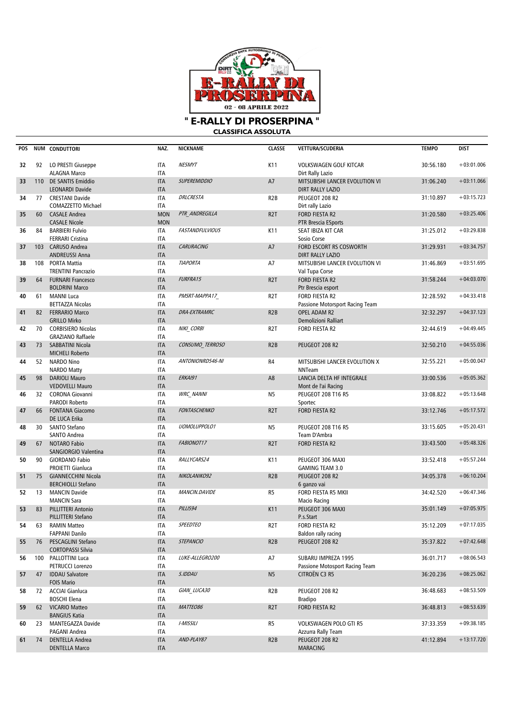

**" E-RALLY DI PROSERPINA " CLASSIFICA ASSOLUTA**

| POS |     | NUM CONDUTTORI                                                          | NAZ.                                   | <b>NICKNAME</b>        | <b>CLASSE</b>    | <b>VETTURA/SCUDERIA</b>                                                       | <b>TEMPO</b> | <b>DIST</b>  |
|-----|-----|-------------------------------------------------------------------------|----------------------------------------|------------------------|------------------|-------------------------------------------------------------------------------|--------------|--------------|
| 32  | 92  | LO PRESTI Giuseppe<br><b>ALAGNA Marco</b>                               | ITA<br><b>ITA</b>                      | <b>NESMYT</b>          | K11              | <b>VOLKSWAGEN GOLF KITCAR</b>                                                 | 30:56.180    | $+03:01.006$ |
| 33  | 110 | <b>DE SANTIS Emiddio</b><br><b>LEONARDI Davide</b>                      | <b>ITA</b><br><b>ITA</b>               | <b>SUPEREMIDDIO</b>    | A7               | Dirt Rally Lazio<br>MITSUBISHI LANCER EVOLUTION VI<br><b>DIRT RALLY LAZIO</b> | 31:06.240    | $+03:11.066$ |
| 34  |     | 77 CRESTANI Davide<br>COMAZZETTO Michael                                | <b>ITA</b><br><b>ITA</b>               | DRLCRESTA              | R <sub>2</sub> B | PEUGEOT 208 R2                                                                | 31:10.897    | $+03:15.723$ |
| 35  | 60  | <b>CASALE Andrea</b>                                                    | <b>MON</b>                             | PTR ANDREGILLA         | R <sub>2</sub> T | Dirt rally Lazio<br>FORD FIESTA R2                                            | 31:20.580    | $+03:25.406$ |
| 36  | 84  | <b>CASALE Nicole</b><br><b>BARBIERI Fulvio</b>                          | <b>MON</b><br><b>ITA</b>               | <b>FASTANDFULVIOUS</b> | K11              | PTR Brescia ESports<br>SEAT IBIZA KIT CAR                                     | 31:25.012    | $+03:29.838$ |
| 37  | 103 | <b>FERRARI Cristina</b><br><b>CARUSO Andrea</b>                         | <b>ITA</b><br><b>ITA</b>               | CARURACING             | A7               | Sosio Corse<br>FORD ESCORT RS COSWORTH                                        | 31:29.931    | $+03:34.757$ |
| 38  | 108 | <b>ANDREUSSI Anna</b><br>PORTA Mattia                                   | <b>ITA</b><br><b>ITA</b>               | <b>TIAPORTA</b>        | A7               | <b>DIRT RALLY LAZIO</b><br>MITSUBISHI LANCER EVOLUTION VI                     | 31:46.869    | $+03:51.695$ |
| 39  | 64  | <b>TRENTINI Pancrazio</b><br><b>FURNARI Francesco</b>                   | <b>ITA</b><br><b>ITA</b>               | FURFRA15               | R <sub>2</sub> T | Val Tupa Corse<br>FORD FIESTA R2                                              | 31:58.244    | $+04:03.070$ |
| 40  | 61  | <b>BOLDRINI Marco</b><br><b>MANNI Luca</b>                              | <b>ITA</b><br><b>ITA</b>               | PMSRT-MAPPA17          | R <sub>2</sub> T | Ptr Brescia esport<br>FORD FIESTA R2                                          | 32:28.592    | $+04:33.418$ |
| 41  | 82  | <b>BETTAZZA Nicolas</b><br><b>FERRARIO Marco</b><br><b>GRILLO Mirko</b> | <b>ITA</b><br><b>ITA</b><br><b>ITA</b> | <b>DRA-EXTRAMRC</b>    | R <sub>2</sub> B | Passione Motorsport Racing Team<br>OPEL ADAM R2<br>Demolizioni Ralliart       | 32:32.297    | $+04:37.123$ |
| 42  | 70  | <b>CORBISIERO Nicolas</b><br><b>GRAZIANO Raffaele</b>                   | <b>ITA</b><br><b>ITA</b>               | NIKI CORBI             | R <sub>2</sub> T | FORD FIESTA R2                                                                | 32:44.619    | $+04:49.445$ |
| 43  | 73  | SABBATINI Nicola<br><b>MICHELI Roberto</b>                              | <b>ITA</b><br><b>ITA</b>               | CONSUMO TERROSO        | R <sub>2</sub> B | PEUGEOT 208 R2                                                                | 32:50.210    | $+04:55.036$ |
| 44  | 52  | <b>NARDO Nino</b><br><b>NARDO Matty</b>                                 | <b>ITA</b><br><b>ITA</b>               | ANTONIONRD546-NI       | R4               | MITSUBISHI LANCER EVOLUTION X<br><b>NNTeam</b>                                | 32:55.221    | $+05:00.047$ |
| 45  | 98  | <b>DARIOLI Mauro</b><br><b>VEDOVELLI Mauro</b>                          | <b>ITA</b><br><b>ITA</b>               | <b>ERKAI91</b>         | A <sub>8</sub>   | LANCIA DELTA HF INTEGRALE<br>Mont de l'ai Racing                              | 33:00.536    | $+05:05.362$ |
| 46  | 32  | <b>CORONA Giovanni</b><br><b>PARODI Roberto</b>                         | <b>ITA</b><br><b>ITA</b>               | <b>WRC NANNI</b>       | N <sub>5</sub>   | <b>PEUGEOT 208 T16 R5</b><br>Sportec                                          | 33:08.822    | $+05:13.648$ |
| 47  | 66  | <b>FONTANA Giacomo</b><br>DE LUCA Erika                                 | <b>ITA</b><br><b>ITA</b>               | <b>FONTASCHENKO</b>    | R <sub>2</sub> T | <b>FORD FIESTA R2</b>                                                         | 33:12.746    | $+05:17.572$ |
| 48  | 30  | SANTO Stefano<br>SANTO Andrea                                           | <b>ITA</b><br><b>ITA</b>               | UOMOLUPPOLO1           | N <sub>5</sub>   | <b>PEUGEOT 208 T16 R5</b><br>Team D'Ambra                                     | 33:15.605    | $+05:20.431$ |
| 49  | 67  | <b>NOTARO Fabio</b><br>SANGIORGIO Valentina                             | <b>ITA</b><br><b>ITA</b>               | FABIONOT17             | R <sub>2</sub> T | FORD FIESTA R2                                                                | 33:43.500    | $+05:48.326$ |
| 50  | 90  | <b>GIORDANO Fabio</b><br><b>PROIETTI Gianluca</b>                       | <b>ITA</b><br><b>ITA</b>               | RALLYCARS24            | K11              | PEUGEOT 306 MAXI<br><b>GAMING TEAM 3.0</b>                                    | 33:52.418    | $+05:57.244$ |
| 51  | 75  | <b>GIANNECCHINI Nicola</b><br><b>BERCHIOLLI Stefano</b>                 | <b>ITA</b><br><b>ITA</b>               | NIKOLANIKO92           | R <sub>2</sub> B | PEUGEOT 208 R2<br>6 ganzo vai                                                 | 34:05.378    | $+06:10.204$ |
| 52  | 13  | <b>MANCIN Davide</b><br><b>MANCIN Sara</b>                              | <b>ITA</b><br><b>ITA</b>               | MANCIN.DAVIDE          | R5               | FORD FIESTA R5 MKII<br>Macio Racing                                           | 34:42.520    | $+06:47.346$ |
| 53  | 83  | <b>PILLITTERI Antonio</b><br>PILLITTERI Stefano                         | <b>ITA</b><br><b>ITA</b>               | PILLIS94               | K11              | PEUGEOT 306 MAXI<br>P.s.Start                                                 | 35:01.149    | $+07:05.975$ |
| 54  | 63  | <b>RAMIN Matteo</b><br><b>FAPPANI Danilo</b>                            | <b>ITA</b><br>ITA                      | <b>SPEEDTEO</b>        | R <sub>2</sub> T | FORD FIESTA R2<br>Baldon rally racing                                         | 35:12.209    | $+07:17.035$ |
| 55  | 76  | PESCAGLINI Stefano<br><b>CORTOPASSI Silvia</b>                          | <b>ITA</b><br><b>ITA</b>               | <b>STEPANCIO</b>       | R <sub>2</sub> B | PEUGEOT 208 R2                                                                | 35:37.822    | $+07:42.648$ |
| 56  |     | 100 PALLOTTINI Luca<br>PETRUCCI Lorenzo                                 | ITA<br>ITA                             | LUKE-ALLEGRO200        | A7               | SUBARU IMPREZA 1995<br>Passione Motosport Racing Team                         | 36:01.717    | $+08:06.543$ |
| 57  | 47  | <b>IDDAU Salvatore</b><br><b>FOIS Mario</b>                             | <b>ITA</b><br><b>ITA</b>               | S.IDDAU                | N <sub>5</sub>   | CITROËN C3 R5                                                                 | 36:20.236    | $+08:25.062$ |
| 58  |     | 72 ACCIAI Gianluca<br><b>BOSCHI Elena</b>                               | ITA<br>ITA                             | GIAN LUCA30            | R <sub>2</sub> B | PEUGEOT 208 R2<br><b>Bradipo</b>                                              | 36:48.683    | $+08:53.509$ |
| 59  | 62  | <b>VICARIO Matteo</b><br><b>BANGIUS Katia</b>                           | <b>ITA</b><br><b>ITA</b>               | MATTEO86               | R <sub>2</sub> T | FORD FIESTA R2                                                                | 36:48.813    | $+08:53.639$ |
| 60  | 23  | MANTEGAZZA Davide<br>PAGANI Andrea                                      | ITA<br>ITA                             | I-MISSILI              | R5               | VOLKSWAGEN POLO GTI R5<br>Azzurra Rally Team                                  | 37:33.359    | $+09:38.185$ |
| 61  | 74  | <b>DENTELLA Andrea</b><br><b>DENTELLA Marco</b>                         | <b>ITA</b><br><b>ITA</b>               | AND-PLAY87             | R <sub>2</sub> B | PEUGEOT 208 R2<br><b>MARACING</b>                                             | 41:12.894    | $+13:17.720$ |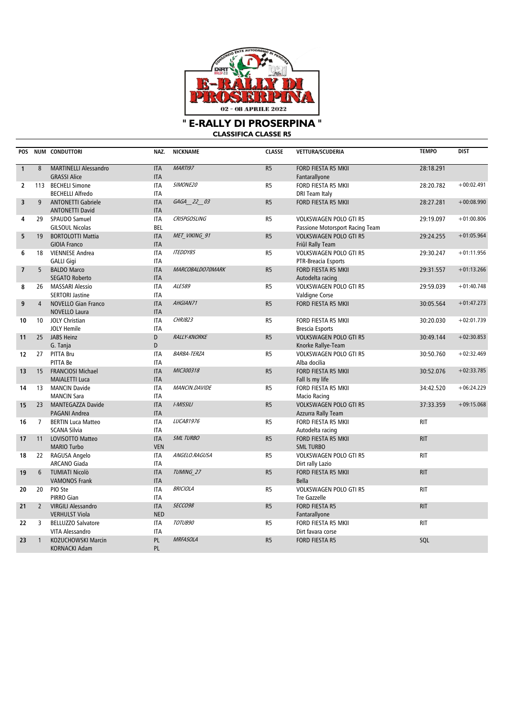

**CLASSIFICA CLASSE R5**

| <b>POS</b>               |                         | NUM CONDUTTORI               | NAZ.       | <b>NICKNAME</b>     | <b>CLASSE</b>  | VETTURA/SCUDERIA                | <b>TEMPO</b> | <b>DIST</b>  |
|--------------------------|-------------------------|------------------------------|------------|---------------------|----------------|---------------------------------|--------------|--------------|
| $\mathbf{1}$             | 8                       | <b>MARTINELLI Alessandro</b> | <b>ITA</b> | MARTI97             | R <sub>5</sub> | <b>FORD FIESTA R5 MKII</b>      | 28:18.291    |              |
|                          |                         | <b>GRASSI Alice</b>          | <b>ITA</b> |                     |                | Fantarallyone                   |              |              |
| $\overline{2}$           |                         | 113 BECHELI Simone           | <b>ITA</b> | SIMONE20            | R <sub>5</sub> | FORD FIESTA R5 MKII             | 28:20.782    | $+00:02.491$ |
|                          |                         | <b>BECHELLI Alfredo</b>      | <b>ITA</b> |                     |                | DRI Team Italy                  |              |              |
| 3                        | 9                       | <b>ANTONETTI Gabriele</b>    | <b>ITA</b> | GAGA 22 03          | R <sub>5</sub> | FORD FIESTA R5 MKII             | 28:27.281    | $+00:08.990$ |
|                          |                         | <b>ANTONETTI David</b>       | <b>ITA</b> |                     |                |                                 |              |              |
| 4                        | 29                      | SPAUDO Samuel                | <b>ITA</b> | <b>CRISPGOSLING</b> | R <sub>5</sub> | <b>VOLKSWAGEN POLO GTI R5</b>   | 29:19.097    | $+01:00.806$ |
|                          |                         | <b>GILSOUL Nicolas</b>       | BEL        |                     |                | Passione Motorsport Racing Team |              |              |
| 5                        | 19                      | <b>BORTOLOTTI Mattia</b>     | <b>ITA</b> | MET VIKING 91       | R <sub>5</sub> | <b>VOLKSWAGEN POLO GTI R5</b>   | 29:24.255    | $+01:05.964$ |
|                          |                         | <b>GIOIA Franco</b>          | <b>ITA</b> |                     |                | Friûl Rally Team                |              |              |
| 6                        | 18                      | <b>VIENNESE Andrea</b>       | <b>ITA</b> | <b>ITEDDY85</b>     | R <sub>5</sub> | VOLKSWAGEN POLO GTI R5          | 29:30.247    | $+01:11.956$ |
|                          |                         | <b>GALLI Gigi</b>            | <b>ITA</b> |                     |                | PTR-Breacia Esports             |              |              |
| $\overline{\phantom{a}}$ | 5                       | <b>BALDO Marco</b>           | <b>ITA</b> | MARCOBALDO70MARK    | R <sub>5</sub> | FORD FIESTA R5 MKII             | 29:31.557    | $+01:13.266$ |
|                          |                         | <b>SEGATO Roberto</b>        | <b>ITA</b> |                     |                | Autodelta racing                |              |              |
| 8                        | 26                      | <b>MASSARI Alessio</b>       | <b>ITA</b> | ALE589              | R5             | VOLKSWAGEN POLO GTI R5          | 29:59.039    | $+01:40.748$ |
|                          |                         | <b>SERTORI Jastine</b>       | <b>ITA</b> |                     |                | Valdigne Corse                  |              |              |
| 9                        | $\overline{4}$          | <b>NOVELLO Gian Franco</b>   | <b>ITA</b> | AHGIAN71            | R <sub>5</sub> | FORD FIESTA R5 MKII             | 30:05.564    | $+01:47.273$ |
|                          |                         | <b>NOVELLO Laura</b>         | <b>ITA</b> |                     |                |                                 |              |              |
| 10                       | 10 <sup>°</sup>         | <b>JOLY Christian</b>        | <b>ITA</b> | CHRJB23             | R5             | FORD FIESTA R5 MKII             | 30:20.030    | $+02:01.739$ |
|                          |                         | <b>JOLY Hemile</b>           | <b>ITA</b> |                     |                | <b>Brescia Esports</b>          |              |              |
| 11                       |                         | 25 JABS Heinz                | D          | <b>RALLY-KNORKE</b> | R <sub>5</sub> | <b>VOLKSWAGEN POLO GTI R5</b>   | 30:49.144    | $+02:30.853$ |
|                          |                         | G. Tanja                     | D          |                     |                | Knorke Rallye-Team              |              |              |
| 12                       | 27                      | PITTA Bru                    | <b>ITA</b> | <b>BARBA-TERZA</b>  | R5             | <b>VOLKSWAGEN POLO GTI R5</b>   | 30:50.760    | $+02:32.469$ |
|                          |                         | PITTA Be                     | <b>ITA</b> |                     |                | Alba docilia                    |              |              |
| 13                       | 15 <sup>2</sup>         | <b>FRANCIOSI Michael</b>     | <b>ITA</b> | MIC300318           | R <sub>5</sub> | FORD FIESTA R5 MKII             | 30:52.076    | $+02:33.785$ |
|                          |                         | <b>MAIALETTI Luca</b>        | <b>ITA</b> |                     |                | Fall Is my life                 |              |              |
| 14                       | 13                      | <b>MANCIN Davide</b>         | <b>ITA</b> | MANCIN.DAVIDE       | R <sub>5</sub> | FORD FIESTA R5 MKII             | 34:42.520    | $+06:24.229$ |
|                          |                         | <b>MANCIN Sara</b>           | <b>ITA</b> |                     |                | <b>Macio Racing</b>             |              |              |
| 15                       | 23                      | MANTEGAZZA Davide            | <b>ITA</b> | I-MISSILI           | R <sub>5</sub> | <b>VOLKSWAGEN POLO GTI R5</b>   | 37:33.359    | $+09:15.068$ |
|                          |                         | <b>PAGANI Andrea</b>         | <b>ITA</b> |                     |                | Azzurra Rally Team              |              |              |
| 16                       | $\overline{7}$          | <b>BERTIN Luca Matteo</b>    | <b>ITA</b> | LUCAB1976           | R5             | FORD FIESTA R5 MKII             | <b>RIT</b>   |              |
|                          |                         | <b>SCANA Silvia</b>          | <b>ITA</b> |                     |                | Autodelta racing                |              |              |
| 17                       | 11                      | LOVISOTTO Matteo             | <b>ITA</b> | <b>SML TURBO</b>    | R <sub>5</sub> | FORD FIESTA R5 MKII             | <b>RIT</b>   |              |
|                          |                         | <b>MARIO Turbo</b>           | <b>VEN</b> |                     |                | <b>SML TURBO</b>                |              |              |
| 18                       | 22                      | RAGUSA Angelo                | <b>ITA</b> | ANGELO.RAGUSA       | R <sub>5</sub> | <b>VOLKSWAGEN POLO GTI R5</b>   | <b>RIT</b>   |              |
|                          |                         | <b>ARCANO Giada</b>          | <b>ITA</b> |                     |                | Dirt rally Lazio                |              |              |
| 19                       | 6                       | <b>TUMIATI Nicolò</b>        | <b>ITA</b> | TUMING 27           | R <sub>5</sub> | FORD FIESTA R5 MKII             | <b>RIT</b>   |              |
|                          |                         | <b>VAMONOS Frank</b>         | <b>ITA</b> |                     |                | <b>Bella</b>                    |              |              |
| 20                       | 20                      | PIO Ste                      | <b>ITA</b> | <b>BRICIOLA</b>     | R <sub>5</sub> | <b>VOLKSWAGEN POLO GTI R5</b>   | <b>RIT</b>   |              |
|                          |                         | PIRRO Gian                   | <b>ITA</b> |                     |                | <b>Tre Gazzelle</b>             |              |              |
| 21                       | $\overline{2}$          | <b>VIRGILI Alessandro</b>    | <b>ITA</b> | SECCO98             | R <sub>5</sub> | <b>FORD FIESTA R5</b>           | <b>RIT</b>   |              |
|                          |                         | <b>VERHULST Viola</b>        | <b>NED</b> |                     |                | Fantarallyone                   |              |              |
| 22                       | $\overline{\mathbf{3}}$ | <b>BELLUZZO Salvatore</b>    | <b>ITA</b> | TOTUB90             | R <sub>5</sub> | FORD FIESTA R5 MKII             | <b>RIT</b>   |              |
|                          |                         | VITA Alessandro              | <b>ITA</b> |                     |                | Dirt favara corse               |              |              |
| 23                       | $\mathbf{1}$            | KOŻUCHOWSKI Marcin           | PL         | <b>MRFASOLA</b>     | R <sub>5</sub> | <b>FORD FIESTA R5</b>           | SQL          |              |
|                          |                         | KORNACKI Adam                | <b>PL</b>  |                     |                |                                 |              |              |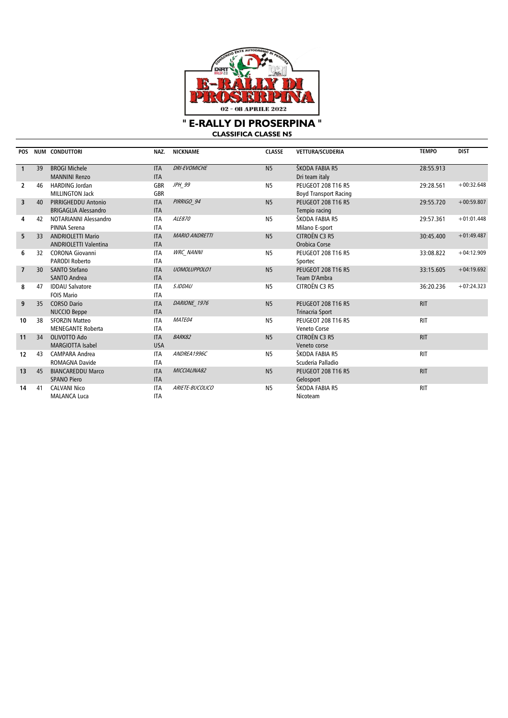

**CLASSIFICA CLASSE N5**

| <b>POS</b>              |                 | NUM CONDUTTORI                                | NAZ.                     | <b>NICKNAME</b>       | <b>CLASSE</b>  | VETTURA/SCUDERIA                            | <b>TEMPO</b> | <b>DIST</b>  |
|-------------------------|-----------------|-----------------------------------------------|--------------------------|-----------------------|----------------|---------------------------------------------|--------------|--------------|
|                         | 39              | <b>BROGI Michele</b>                          |                          | <b>DRI-EVOMICHE</b>   | N <sub>5</sub> | ŠKODA FABIA R5                              | 28:55.913    |              |
| $\mathbf{1}$            |                 |                                               | <b>ITA</b>               |                       |                |                                             |              |              |
|                         |                 | <b>MANNINI Renzo</b><br><b>HARDING Jordan</b> | <b>ITA</b>               | JPH 99                | <b>N5</b>      | Dri team italy<br><b>PEUGEOT 208 T16 R5</b> |              | $+00:32.648$ |
| $\overline{2}$          | 46              |                                               | <b>GBR</b>               |                       |                |                                             | 29:28.561    |              |
|                         |                 | <b>MILLINGTON Jack</b>                        | <b>GBR</b>               |                       |                | <b>Boyd Transport Racing</b>                |              | $+00:59.807$ |
| $\overline{\mathbf{3}}$ | 40              | PIRRIGHEDDU Antonio                           | <b>ITA</b>               | PIRRIGO 94            | N <sub>5</sub> | <b>PEUGEOT 208 T16 R5</b>                   | 29:55.720    |              |
|                         |                 | <b>BRIGAGLIA Alessandro</b>                   | <b>ITA</b>               | ALE870                |                | Tempio racing                               |              | $+01:01.448$ |
| 4                       | 42              | NOTARIANNI Alessandro                         | <b>ITA</b>               |                       | <b>N5</b>      | ŠKODA FABIA R5                              | 29:57.361    |              |
|                         |                 | PINNA Serena                                  | <b>ITA</b>               | <b>MARIO ANDRETTI</b> |                | Milano E-sport                              |              | $+01:49.487$ |
| 5                       | 33              | <b>ANDRIOLETTI Mario</b>                      | <b>ITA</b>               |                       | N <sub>5</sub> | CITROËN C3 R5                               | 30:45.400    |              |
|                         |                 | <b>ANDRIOLETTI Valentina</b>                  | <b>ITA</b>               |                       |                | Orobica Corse                               |              |              |
| 6                       | 32              | <b>CORONA Giovanni</b>                        | <b>ITA</b><br><b>ITA</b> | <b>WRC NANNI</b>      | <b>N5</b>      | <b>PEUGEOT 208 T16 R5</b>                   | 33:08.822    | $+04:12.909$ |
|                         |                 | <b>PARODI Roberto</b>                         |                          | <b>UOMOLUPPOLO1</b>   |                | Sportec                                     |              | $+04:19.692$ |
| $\overline{7}$          | 30 <sup>2</sup> | <b>SANTO Stefano</b>                          | <b>ITA</b>               |                       | N <sub>5</sub> | <b>PEUGEOT 208 T16 R5</b>                   | 33:15.605    |              |
|                         |                 | <b>SANTO Andrea</b>                           | <b>ITA</b>               |                       |                | Team D'Ambra                                |              |              |
| 8                       | 47              | <b>IDDAU Salvatore</b>                        | <b>ITA</b>               | S.IDDAU               | N <sub>5</sub> | CITROËN C3 R5                               | 36:20.236    | $+07:24.323$ |
|                         |                 | <b>FOIS Mario</b>                             | <b>ITA</b>               |                       |                |                                             |              |              |
| 9                       | 35              | <b>CORSO Dario</b>                            | <b>ITA</b>               | DARIONE 1976          | N <sub>5</sub> | <b>PEUGEOT 208 T16 R5</b>                   | <b>RIT</b>   |              |
|                         |                 | <b>NUCCIO Beppe</b>                           | <b>ITA</b>               |                       |                | Trinacria Sport                             |              |              |
| 10                      | 38              | <b>SFORZIN Matteo</b>                         | <b>ITA</b>               | MATE04                | <b>N5</b>      | PEUGEOT 208 T16 R5                          | <b>RIT</b>   |              |
|                         |                 | <b>MENEGANTE Roberta</b>                      | <b>ITA</b>               |                       |                | Veneto Corse                                |              |              |
| 11                      | 34              | OLIVOTTO Ado                                  | <b>ITA</b>               | <b>BARK82</b>         | N <sub>5</sub> | CITROËN C3 R5                               | <b>RIT</b>   |              |
|                         |                 | <b>MARGIOTTA Isabel</b>                       | <b>USA</b>               |                       |                | Veneto corse                                |              |              |
| 12                      | 43              | <b>CAMPARA Andrea</b>                         | <b>ITA</b>               | ANDREA1996C           | <b>N5</b>      | ŠKODA FABIA R5                              | <b>RIT</b>   |              |
|                         |                 | <b>ROMAGNA Davide</b>                         | <b>ITA</b>               |                       |                | Scuderia Palladio                           |              |              |
| 13                      | 45              | <b>BIANCAREDDU Marco</b>                      | <b>ITA</b>               | MICCIALINA82          | N <sub>5</sub> | <b>PEUGEOT 208 T16 R5</b>                   | <b>RIT</b>   |              |
|                         |                 | <b>SPANO Piero</b>                            | <b>ITA</b>               |                       |                | Gelosport                                   |              |              |
| 14                      | 41              | <b>CALVANI Nico</b>                           | <b>ITA</b>               | ARIETE-BUCOLICO       | <b>N5</b>      | ŠKODA FABIA R5                              | <b>RIT</b>   |              |
|                         |                 | <b>MALANCA Luca</b>                           | <b>ITA</b>               |                       |                | Nicoteam                                    |              |              |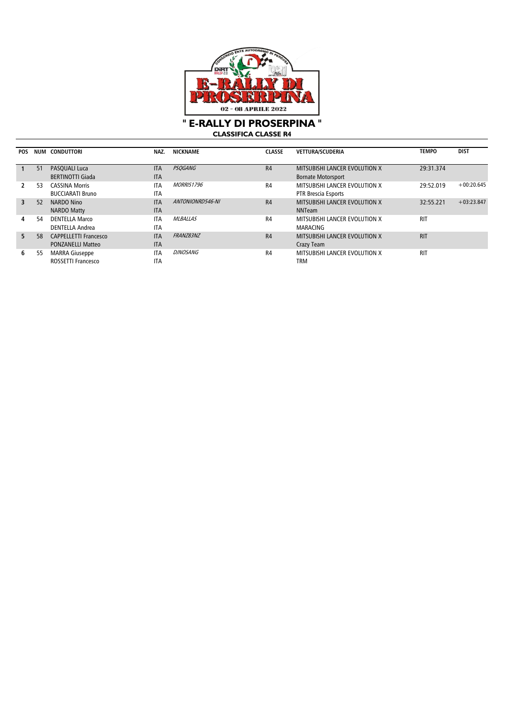

**CLASSIFICA CLASSE R4**

| <b>POS</b> | NUM | CONDUTTORI                                               | NAZ.                     | <b>NICKNAME</b>   | <b>CLASSE</b>  | <b>VETTURA/SCUDERIA</b>                              | <b>TEMPO</b> | <b>DIST</b>  |
|------------|-----|----------------------------------------------------------|--------------------------|-------------------|----------------|------------------------------------------------------|--------------|--------------|
|            | 51  | <b>PASOUALI Luca</b>                                     | <b>ITA</b>               | <b>PSQGANG</b>    | R4             | <b>MITSUBISHI LANCER EVOLUTION X</b>                 | 29:31.374    |              |
|            |     | <b>BERTINOTTI Giada</b>                                  | <b>ITA</b>               |                   |                | <b>Bornate Motorsport</b>                            |              |              |
|            | 53  | <b>CASSINA Morris</b><br><b>BUCCIARATI Bruno</b>         | <b>ITA</b><br><b>ITA</b> | <b>MORRIS1796</b> | R4             | MITSUBISHI LANCER EVOLUTION X<br>PTR Brescia Esports | 29:52.019    | $+00:20.645$ |
| 3          | 52  | NARDO Nino<br><b>NARDO Matty</b>                         | <b>ITA</b><br><b>ITA</b> | ANTONIONRD546-NI  | R <sub>4</sub> | MITSUBISHI LANCER EVOLUTION X<br><b>NNTeam</b>       | 32:55.221    | $+03:23.847$ |
| 4          | 54  | <b>DENTELLA Marco</b><br>DENTELLA Andrea                 | <b>ITA</b><br><b>ITA</b> | <b>MLBALLAS</b>   | R4             | MITSUBISHI LANCER EVOLUTION X<br><b>MARACING</b>     | <b>RIT</b>   |              |
| 5          | 58  | <b>CAPPELLETTI Francesco</b><br><b>PONZANELLI Matteo</b> | <b>ITA</b><br><b>ITA</b> | FRANZ83NZ         | R <sub>4</sub> | MITSUBISHI LANCER EVOLUTION X<br>Crazy Team          | <b>RIT</b>   |              |
| 6          | 55  | <b>MARRA Giuseppe</b><br>ROSSETTI Francesco              | <b>ITA</b><br><b>ITA</b> | <i>DJNOSANG</i>   | R <sub>4</sub> | MITSUBISHI LANCER EVOLUTION X<br>TRM                 | <b>RIT</b>   |              |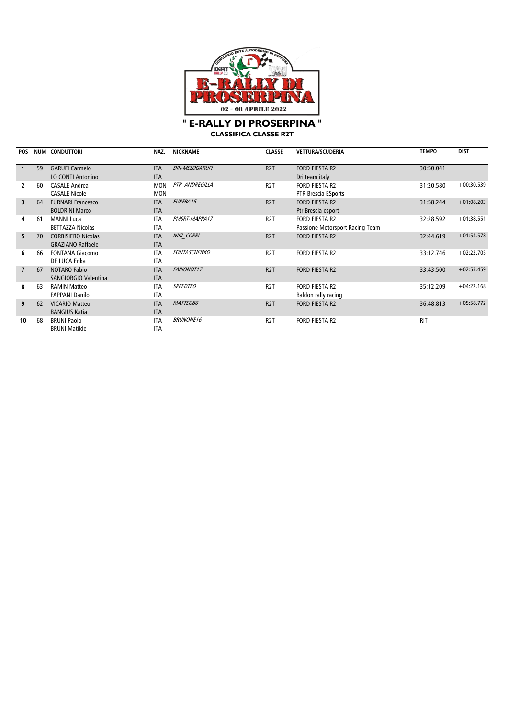

**CLASSIFICA CLASSE R2T**

| <b>POS</b>     |    | <b>NUM CONDUTTORI</b>                                 | NAZ.                     | <b>NICKNAME</b>     | <b>CLASSE</b>    | <b>VETTURA/SCUDERIA</b>                           | <b>TEMPO</b> | <b>DIST</b>  |
|----------------|----|-------------------------------------------------------|--------------------------|---------------------|------------------|---------------------------------------------------|--------------|--------------|
|                | 59 | <b>GARUFI Carmelo</b><br><b>LO CONTI Antonino</b>     | <b>ITA</b><br><b>ITA</b> | DRI-MELOGARUFI      | R <sub>2</sub> T | <b>FORD FIESTA R2</b><br>Dri team italy           | 30:50.041    |              |
|                | 60 | <b>CASALE Andrea</b><br><b>CASALE Nicole</b>          | <b>MON</b><br><b>MON</b> | PTR ANDREGILLA      | R <sub>2</sub> T | <b>FORD FIESTA R2</b><br>PTR Brescia ESports      | 31:20.580    | $+00:30.539$ |
| 3              | 64 | <b>FURNARI Francesco</b><br><b>BOLDRINI Marco</b>     | <b>ITA</b><br><b>ITA</b> | FURFRA15            | R <sub>2</sub> T | <b>FORD FIESTA R2</b><br>Ptr Brescia esport       | 31:58.244    | $+01:08.203$ |
| 4              | 61 | <b>MANNI Luca</b><br><b>BETTAZZA Nicolas</b>          | <b>ITA</b><br><b>ITA</b> | PMSRT-MAPPA17       | R <sub>2</sub> T | FORD FIESTA R2<br>Passione Motorsport Racing Team | 32:28.592    | $+01:38.551$ |
| 5.             | 70 | <b>CORBISIERO Nicolas</b><br><b>GRAZIANO Raffaele</b> | <b>ITA</b><br><b>ITA</b> | NIKI CORBI          | R <sub>2</sub> T | <b>FORD FIESTA R2</b>                             | 32:44.619    | $+01:54.578$ |
| 6              | 66 | <b>FONTANA Giacomo</b><br>DE LUCA Erika               | <b>ITA</b><br><b>ITA</b> | <b>FONTASCHENKO</b> | R <sub>2</sub> T | <b>FORD FIESTA R2</b>                             | 33:12.746    | $+02:22.705$ |
| $\overline{7}$ | 67 | <b>NOTARO Fabio</b><br><b>SANGIORGIO Valentina</b>    | <b>ITA</b><br><b>ITA</b> | FABIONOT17          | R <sub>2</sub> T | <b>FORD FIESTA R2</b>                             | 33:43.500    | $+02:53.459$ |
| 8              | 63 | <b>RAMIN Matteo</b><br><b>FAPPANI Danilo</b>          | <b>ITA</b><br><b>ITA</b> | <b>SPEEDTEO</b>     | R <sub>2</sub> T | <b>FORD FIESTA R2</b><br>Baldon rally racing      | 35:12.209    | $+04:22.168$ |
| 9              | 62 | <b>VICARIO Matteo</b><br><b>BANGIUS Katia</b>         | <b>ITA</b><br><b>ITA</b> | MATTEO86            | R <sub>2</sub> T | <b>FORD FIESTA R2</b>                             | 36:48.813    | $+05:58.772$ |
| 10             | 68 | <b>BRUNI Paolo</b><br><b>BRUNI Matilde</b>            | <b>ITA</b><br><b>ITA</b> | <b>BRUNONE16</b>    | R <sub>2</sub> T | FORD FIESTA R2                                    | <b>RIT</b>   |              |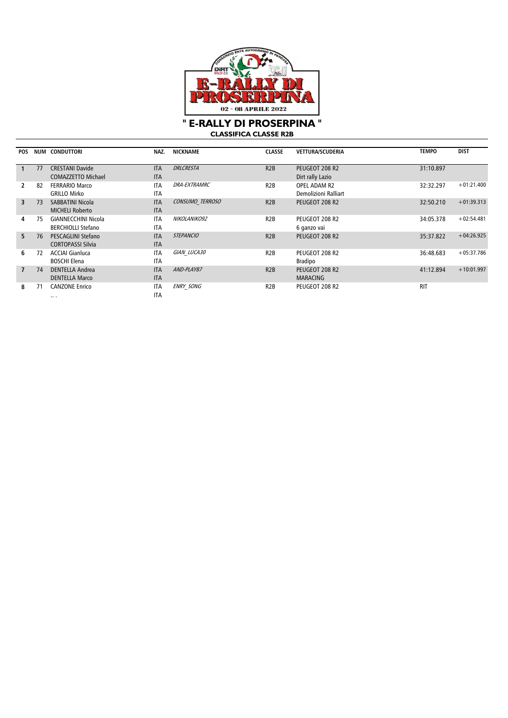

**CLASSIFICA CLASSE R2B** 

| <b>POS</b>     | NUM | <b>CONDUTTORI</b>         | NAZ.       | <b>NICKNAME</b>     | <b>CLASSE</b>    | VETTURA/SCUDERIA     | <b>TEMPO</b> | <b>DIST</b>  |
|----------------|-----|---------------------------|------------|---------------------|------------------|----------------------|--------------|--------------|
|                |     |                           |            |                     |                  |                      |              |              |
|                | 77  | <b>CRESTANI Davide</b>    | <b>ITA</b> | <b>DRLCRESTA</b>    | R2B              | PEUGEOT 208 R2       | 31:10.897    |              |
|                |     | <b>COMAZZETTO Michael</b> | <b>ITA</b> |                     |                  | Dirt rally Lazio     |              |              |
| 2              | 82  | <b>FERRARIO Marco</b>     | <b>ITA</b> | <b>DRA-EXTRAMRC</b> | R <sub>2</sub> B | OPEL ADAM R2         | 32:32.297    | $+01:21.400$ |
|                |     | <b>GRILLO Mirko</b>       | <b>ITA</b> |                     |                  | Demolizioni Ralliart |              |              |
| $\overline{3}$ | 73  | SABBATINI Nicola          | <b>ITA</b> | CONSUMO TERROSO     | R2B              | PEUGEOT 208 R2       | 32:50.210    | $+01:39.313$ |
|                |     | <b>MICHELI Roberto</b>    | <b>ITA</b> |                     |                  |                      |              |              |
| 4              | 75  | GIANNECCHINI Nicola       | <b>ITA</b> | NIKOLANIKO92        | R <sub>2</sub> B | PEUGEOT 208 R2       | 34:05.378    | $+02:54.481$ |
|                |     | <b>BERCHIOLLI Stefano</b> | <b>ITA</b> |                     |                  | 6 ganzo vai          |              |              |
| 5.             | 76  | PESCAGLINI Stefano        | <b>ITA</b> | <b>STEPANCIO</b>    | R2B              | PEUGEOT 208 R2       | 35:37.822    | $+04:26.925$ |
|                |     | <b>CORTOPASSI Silvia</b>  | <b>ITA</b> |                     |                  |                      |              |              |
| 6              | 72  | <b>ACCIAI Gianluca</b>    | <b>ITA</b> | GIAN LUCA30         | R <sub>2</sub> B | PEUGEOT 208 R2       | 36:48.683    | $+05:37.786$ |
|                |     | <b>BOSCHI Elena</b>       | <b>ITA</b> |                     |                  | <b>Bradipo</b>       |              |              |
| $\overline{7}$ | 74  | <b>DENTELLA Andrea</b>    | <b>ITA</b> | AND-PLAY87          | R2B              | PEUGEOT 208 R2       | 41:12.894    | $+10:01.997$ |
|                |     | <b>DENTELLA Marco</b>     | <b>ITA</b> |                     |                  | <b>MARACING</b>      |              |              |
| 8              | 71  | <b>CANZONE Enrico</b>     | <b>ITA</b> | <b>ENRY SONG</b>    | R <sub>2</sub> B | PEUGEOT 208 R2       | <b>RIT</b>   |              |
|                |     | $\cdots$                  | <b>ITA</b> |                     |                  |                      |              |              |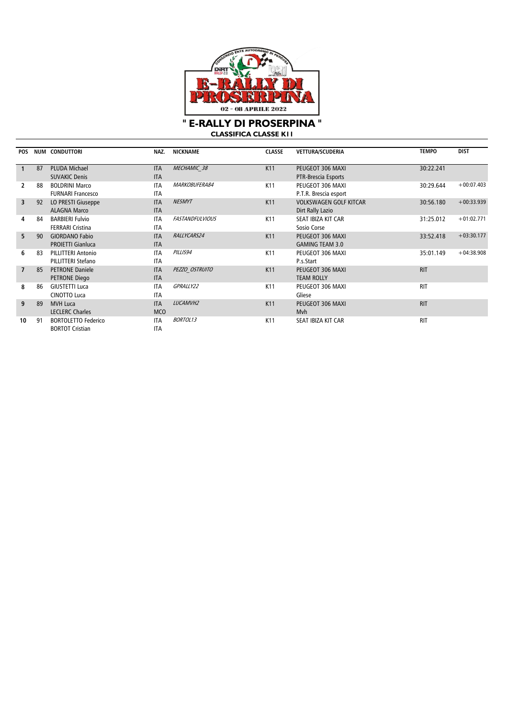

**CLASSIFICA CLASSE K11**

| <b>POS</b>     | NUM | <b>CONDUTTORI</b>                                    | NAZ.                     | <b>NICKNAME</b>        | <b>CLASSE</b>   | <b>VETTURA/SCUDERIA</b>                           | <b>TEMPO</b> | <b>DIST</b>  |
|----------------|-----|------------------------------------------------------|--------------------------|------------------------|-----------------|---------------------------------------------------|--------------|--------------|
|                | 87  | <b>PLUDA Michael</b><br><b>SUVAKIC Denis</b>         | <b>ITA</b><br><b>ITA</b> | MECHAMIC 38            | K11             | PEUGEOT 306 MAXI<br>PTR-Brescia Esports           | 30:22.241    |              |
|                | 88  | <b>BOLDRINI Marco</b><br><b>FURNARI Francesco</b>    | <b>ITA</b><br><b>ITA</b> | MARKOBUFERA84          | K11             | PEUGEOT 306 MAXI<br>P.T.R. Brescia esport         | 30:29.644    | $+00:07.403$ |
| 3              | 92  | LO PRESTI Giuseppe<br><b>ALAGNA Marco</b>            | <b>ITA</b><br><b>ITA</b> | <b>NESMYT</b>          | K11             | <b>VOLKSWAGEN GOLF KITCAR</b><br>Dirt Rally Lazio | 30:56.180    | $+00:33.939$ |
| 4              | 84  | <b>BARBIERI Fulvio</b><br><b>FERRARI Cristina</b>    | <b>ITA</b><br><b>ITA</b> | <b>FASTANDFULVIOUS</b> | K11             | SEAT IBIZA KIT CAR<br>Sosio Corse                 | 31:25.012    | $+01:02.771$ |
| 5.             | 90  | <b>GIORDANO Fabio</b><br><b>PROIETTI Gianluca</b>    | <b>ITA</b><br><b>ITA</b> | RALLYCARS24            | K11             | PEUGEOT 306 MAXI<br><b>GAMING TEAM 3.0</b>        | 33:52.418    | $+03:30.177$ |
| 6              | 83  | <b>PILLITTERI Antonio</b><br>PILLITTERI Stefano      | <b>ITA</b><br><b>ITA</b> | PILLIS94               | K11             | PEUGEOT 306 MAXI<br>P.s.Start                     | 35:01.149    | $+04:38.908$ |
| $\overline{7}$ | 85  | <b>PETRONE Daniele</b><br>PETRONE Diego              | <b>ITA</b><br><b>ITA</b> | PEZZO OSTRUITO         | K11             | PEUGEOT 306 MAXI<br><b>TEAM ROLLY</b>             | <b>RIT</b>   |              |
| 8              | 86  | <b>GIUSTETTI Luca</b><br><b>CINOTTO Luca</b>         | <b>ITA</b><br><b>ITA</b> | GPRALLY22              | K <sub>11</sub> | PEUGEOT 306 MAXI<br>Gliese                        | <b>RIT</b>   |              |
| 9              | 89  | <b>MVH Luca</b><br><b>LECLERC Charles</b>            | <b>ITA</b><br><b>MCO</b> | LUCAMVH2               | K11             | PEUGEOT 306 MAXI<br>Mvh                           | <b>RIT</b>   |              |
| 10             | 91  | <b>BORTOLETTO Federico</b><br><b>BORTOT Cristian</b> | <b>ITA</b><br><b>ITA</b> | <b>BORTOL13</b>        | K <sub>11</sub> | SEAT IBIZA KIT CAR                                | <b>RIT</b>   |              |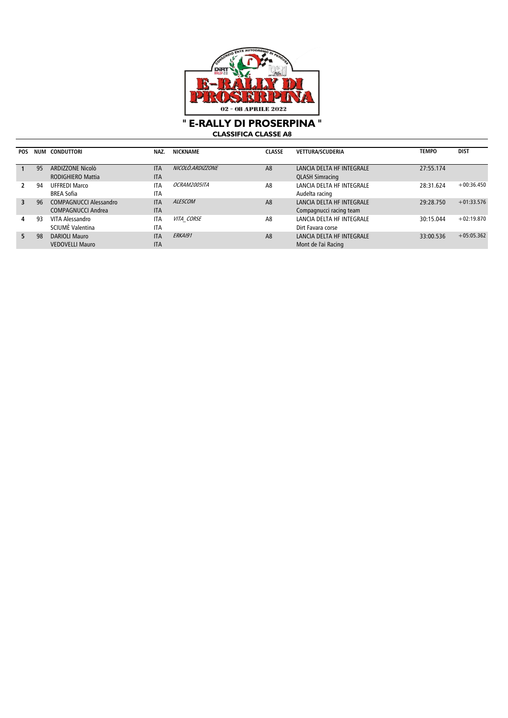

**CLASSIFICA CLASSE A8**

| <b>POS</b> |    | NUM CONDUTTORI                | NAZ.       | <b>NICKNAME</b>     | <b>CLASSE</b>  | <b>VETTURA/SCUDERIA</b>   | <b>TEMPO</b> | <b>DIST</b>  |
|------------|----|-------------------------------|------------|---------------------|----------------|---------------------------|--------------|--------------|
|            |    |                               |            |                     |                |                           |              |              |
|            | 95 | ARDIZZONE Nicolò              | <b>ITA</b> | NICOLO.ARDIZZONE    | A <sub>8</sub> | LANCIA DELTA HF INTEGRALE | 27:55.174    |              |
|            |    | <b>RODIGHIERO Mattia</b>      | <b>ITA</b> |                     |                | <b>QLASH Simracing</b>    |              |              |
|            | 94 | UFFREDI Marco                 | <b>ITA</b> | <i>OCRAM2005ITA</i> | A8             | LANCIA DELTA HF INTEGRALE | 28:31.624    | $+00:36.450$ |
|            |    | <b>BREA Sofia</b>             | <b>ITA</b> |                     |                | Audelta racing            |              |              |
| 3          | 96 | <b>COMPAGNUCCI Alessandro</b> | <b>ITA</b> | ALESCOM             | A <sub>8</sub> | LANCIA DELTA HF INTEGRALE | 29:28.750    | $+01:33.576$ |
|            |    | COMPAGNUCCI Andrea            | <b>ITA</b> |                     |                | Compagnucci racing team   |              |              |
| 4          | 93 | VITA Alessandro               | <b>ITA</b> | VITA CORSE          | A <sub>8</sub> | LANCIA DELTA HF INTEGRALE | 30:15.044    | $+02:19.870$ |
|            |    | SCIUMÈ Valentina              | <b>ITA</b> |                     |                | Dirt Favara corse         |              |              |
| 5.         | 98 | <b>DARIOLI Mauro</b>          | <b>ITA</b> | <b>ERKAI91</b>      | A <sub>8</sub> | LANCIA DELTA HF INTEGRALE | 33:00.536    | $+05:05.362$ |
|            |    | <b>VEDOVELLI Mauro</b>        | <b>ITA</b> |                     |                | Mont de l'ai Racing       |              |              |